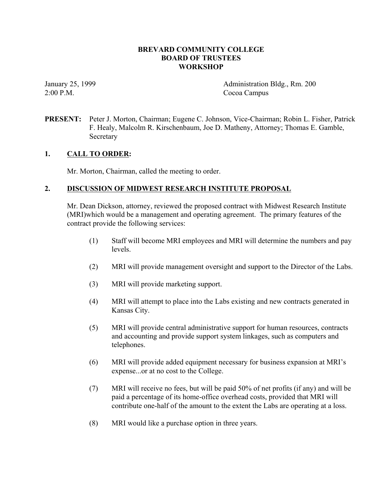### **BREVARD COMMUNITY COLLEGE BOARD OF TRUSTEES WORKSHOP**

2:00 P.M. Cocoa Campus

January 25, 1999 Administration Bldg., Rm. 200

**PRESENT:** Peter J. Morton, Chairman; Eugene C. Johnson, Vice-Chairman; Robin L. Fisher, Patrick F. Healy, Malcolm R. Kirschenbaum, Joe D. Matheny, Attorney; Thomas E. Gamble, Secretary

### **1. CALL TO ORDER:**

Mr. Morton, Chairman, called the meeting to order.

### **2. DISCUSSION OF MIDWEST RESEARCH INSTITUTE PROPOSAL**

Mr. Dean Dickson, attorney, reviewed the proposed contract with Midwest Research Institute (MRI)which would be a management and operating agreement. The primary features of the contract provide the following services:

- (1) Staff will become MRI employees and MRI will determine the numbers and pay levels.
- (2) MRI will provide management oversight and support to the Director of the Labs.
- (3) MRI will provide marketing support.
- (4) MRI will attempt to place into the Labs existing and new contracts generated in Kansas City.
- (5) MRI will provide central administrative support for human resources, contracts and accounting and provide support system linkages, such as computers and telephones.
- (6) MRI will provide added equipment necessary for business expansion at MRI's expense...or at no cost to the College.
- (7) MRI will receive no fees, but will be paid 50% of net profits (if any) and will be paid a percentage of its home-office overhead costs, provided that MRI will contribute one-half of the amount to the extent the Labs are operating at a loss.
- (8) MRI would like a purchase option in three years.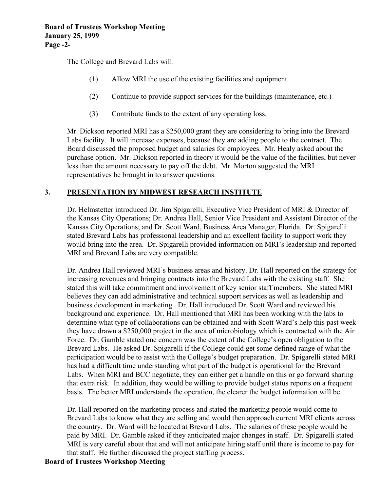The College and Brevard Labs will:

- (1) Allow MRI the use of the existing facilities and equipment.
- (2) Continue to provide support services for the buildings (maintenance, etc.)
- (3) Contribute funds to the extent of any operating loss.

Mr. Dickson reported MRI has a \$250,000 grant they are considering to bring into the Brevard Labs facility. It will increase expenses, because they are adding people to the contract. The Board discussed the proposed budget and salaries for employees. Mr. Healy asked about the purchase option. Mr. Dickson reported in theory it would be the value of the facilities, but never less than the amount necessary to pay off the debt. Mr. Morton suggested the MRI representatives be brought in to answer questions.

### **3. PRESENTATION BY MIDWEST RESEARCH INSTITUTE**

Dr. Helmstetter introduced Dr. Jim Spigarelli, Executive Vice President of MRI & Director of the Kansas City Operations; Dr. Andrea Hall, Senior Vice President and Assistant Director of the Kansas City Operations; and Dr. Scott Ward, Business Area Manager, Florida. Dr. Spigarelli stated Brevard Labs has professional leadership and an excellent facility to support work they would bring into the area. Dr. Spigarelli provided information on MRI's leadership and reported MRI and Brevard Labs are very compatible.

Dr. Andrea Hall reviewed MRI's business areas and history. Dr. Hall reported on the strategy for increasing revenues and bringing contracts into the Brevard Labs with the existing staff. She stated this will take commitment and involvement of key senior staff members. She stated MRI believes they can add administrative and technical support services as well as leadership and business development in marketing. Dr. Hall introduced Dr. Scott Ward and reviewed his background and experience. Dr. Hall mentioned that MRI has been working with the labs to determine what type of collaborations can be obtained and with Scott Ward's help this past week they have drawn a \$250,000 project in the area of microbiology which is contracted with the Air Force. Dr. Gamble stated one concern was the extent of the College's open obligation to the Brevard Labs. He asked Dr. Spigarelli if the College could get some defined range of what the participation would be to assist with the College's budget preparation. Dr. Spigarelli stated MRI has had a difficult time understanding what part of the budget is operational for the Brevard Labs. When MRI and BCC negotiate, they can either get a handle on this or go forward sharing that extra risk. In addition, they would be willing to provide budget status reports on a frequent basis. The better MRI understands the operation, the clearer the budget information will be.

Dr. Hall reported on the marketing process and stated the marketing people would come to Brevard Labs to know what they are selling and would then approach current MRI clients across the country. Dr. Ward will be located at Brevard Labs. The salaries of these people would be paid by MRI. Dr. Gamble asked if they anticipated major changes in staff. Dr. Spigarelli stated MRI is very careful about that and will not anticipate hiring staff until there is income to pay for that staff. He further discussed the project staffing process.

#### **Board of Trustees Workshop Meeting**